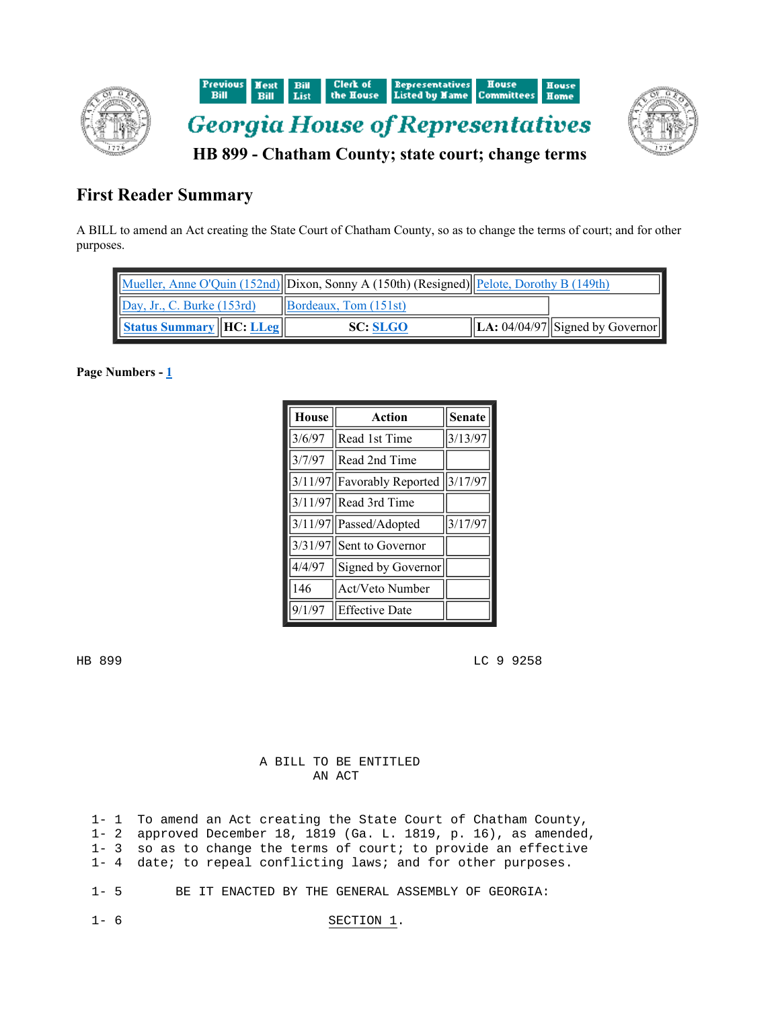



## **First Reader Summary**

A BILL to amend an Act creating the State Court of Chatham County, so as to change the terms of court; and for other purposes.

|                                     | Mueller, Anne O'Quin (152nd) Dixon, Sonny A (150th) (Resigned) Pelote, Dorothy B (149th) |                                      |
|-------------------------------------|------------------------------------------------------------------------------------------|--------------------------------------|
| Day, Jr., C. Burke (153rd)          | $\left  \right $ Bordeaux, Tom (151st)                                                   |                                      |
| <b>Status Summary   HC: LLeg   </b> | <b>SC: SLGO</b>                                                                          | $\ $ LA: 04/04/97 Signed by Governor |

Page Numbers - 1

| House  | Action                                   | <b>Senate</b> |
|--------|------------------------------------------|---------------|
|        | $3/6/97$ Read 1st Time                   | 3/13/97       |
|        | $3/7/97$ Read 2nd Time                   |               |
|        | $3/11/97$   Favorably Reported   3/17/97 |               |
|        | 3/11/97 Read 3rd Time                    |               |
|        | 3/11/97   Passed/Adopted                 | 3/17/97       |
|        | 3/31/97 Sent to Governor                 |               |
| 4/4/97 | Signed by Governor                       |               |
| 146    | Act/Veto Number                          |               |
| 9/1/97 | <b>Effective Date</b>                    |               |

HB 899 LC 9 9258

## A BILL TO BE ENTITLED AN ACT

 1- 1 To amend an Act creating the State Court of Chatham County, 1- 2 approved December 18, 1819 (Ga. L. 1819, p. 16), as amended, 1- 3 so as to change the terms of court; to provide an effective 1- 4 date; to repeal conflicting laws; and for other purposes.

1- 5 BE IT ENACTED BY THE GENERAL ASSEMBLY OF GEORGIA:

## 1- 6 SECTION 1.